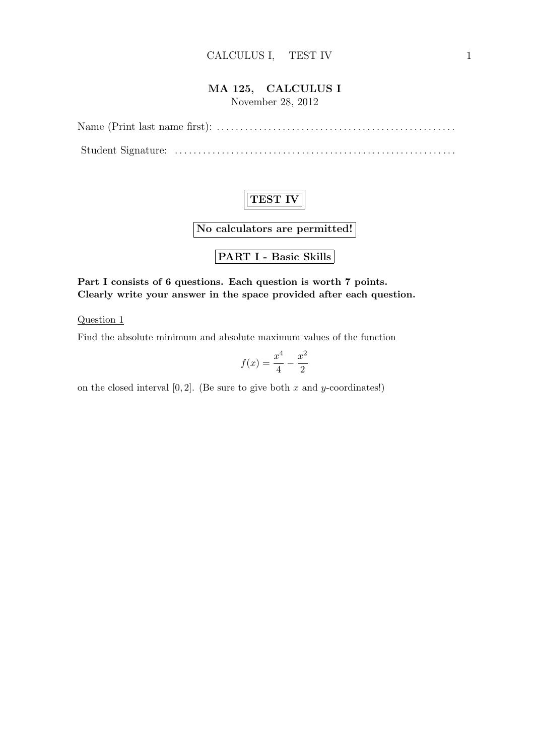### MA 125, CALCULUS I

November 28, 2012

Name (Print last name first): . . . . . . . . . . . . . . . . . . . . . . . . . . . . . . . . . . . . . . . . . . . . . . . . . . . Student Signature: . . . . . . . . . . . . . . . . . . . . . . . . . . . . . . . . . . . . . . . . . . . . . . . . . . . . . . . . . . . .



No calculators are permitted!

PART I - Basic Skills

Part I consists of 6 questions. Each question is worth 7 points. Clearly write your answer in the space provided after each question.

Question 1

Find the absolute minimum and absolute maximum values of the function

$$
f(x) = \frac{x^4}{4} - \frac{x^2}{2}
$$

on the closed interval  $[0, 2]$ . (Be sure to give both x and y-coordinates!)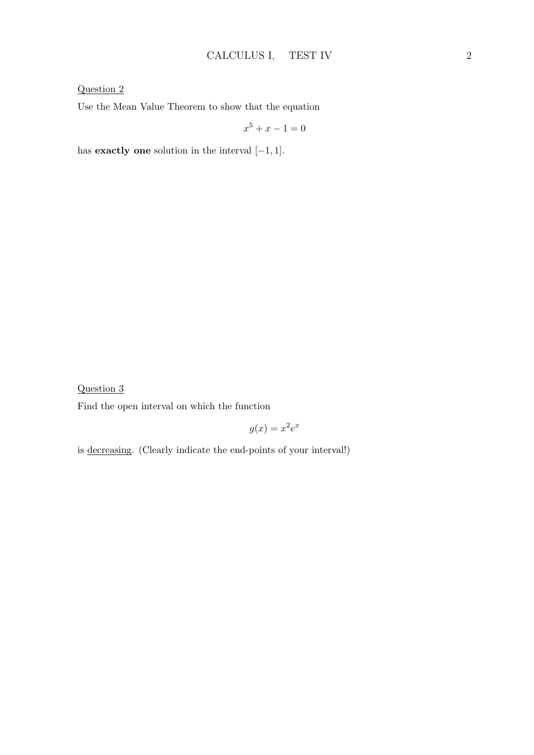Question 2

Use the Mean Value Theorem to show that the equation

$$
x^5 + x - 1 = 0
$$

has **exactly one** solution in the interval  $[-1, 1]$ .

Question 3

Find the open interval on which the function

$$
g(x) = x^2 e^x
$$

is decreasing. (Clearly indicate the end-points of your interval!)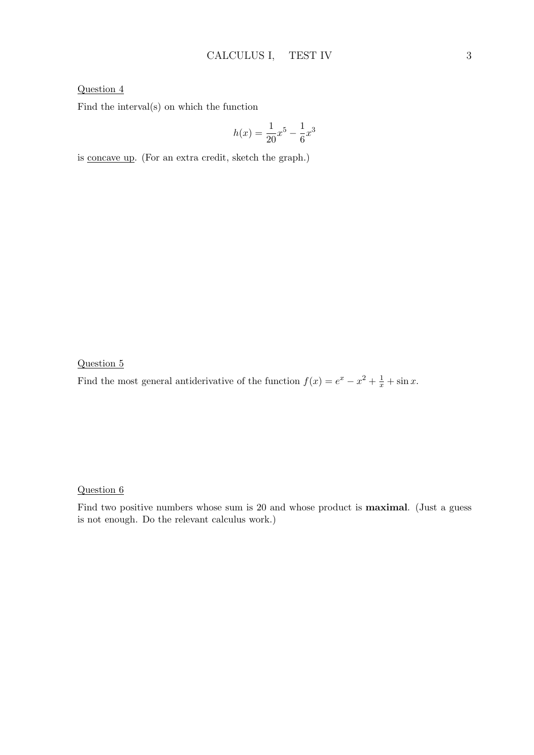### Question 4

Find the interval(s) on which the function

$$
h(x) = \frac{1}{20}x^5 - \frac{1}{6}x^3
$$

is concave up. (For an extra credit, sketch the graph.)

Question 5

Find the most general antiderivative of the function  $f(x) = e^x - x^2 + \frac{1}{x} + \sin x$ .

Question 6

Find two positive numbers whose sum is 20 and whose product is maximal. (Just a guess is not enough. Do the relevant calculus work.)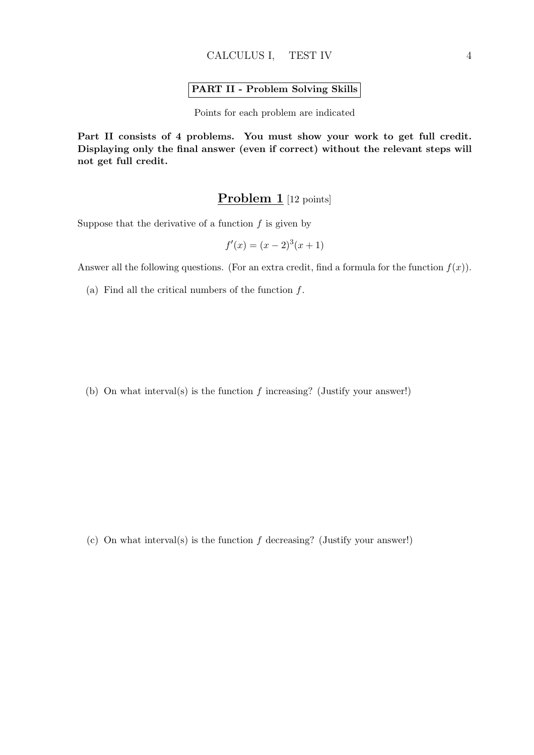#### PART II - Problem Solving Skills

Points for each problem are indicated

Part II consists of 4 problems. You must show your work to get full credit. Displaying only the final answer (even if correct) without the relevant steps will not get full credit.

## Problem 1 [12 points]

Suppose that the derivative of a function  $f$  is given by

$$
f'(x) = (x - 2)^3(x + 1)
$$

Answer all the following questions. (For an extra credit, find a formula for the function  $f(x)$ ).

(a) Find all the critical numbers of the function  $f$ .

(b) On what interval(s) is the function  $f$  increasing? (Justify your answer!)

(c) On what interval(s) is the function f decreasing? (Justify your answer!)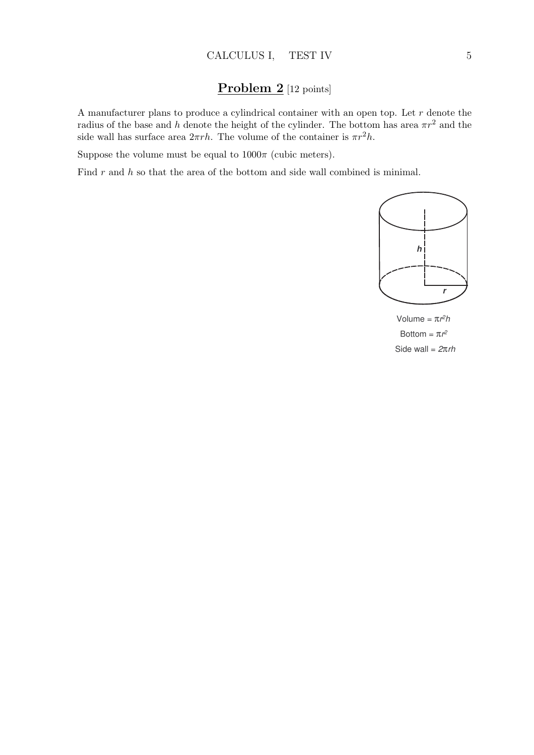# Problem 2 [12 points]

A manufacturer plans to produce a cylindrical container with an open top. Let  $r$  denote the radius of the base and h denote the height of the cylinder. The bottom has area  $\pi r^2$  and the side wall has surface area  $2\pi rh$ . The volume of the container is  $\pi r^2 h$ .

Suppose the volume must be equal to  $1000\pi$  (cubic meters).

Find  $r$  and  $h$  so that the area of the bottom and side wall combined is minimal.



Volume = π*r2h* Bottom =  $\pi r^2$ Side wall = *2*π*rh*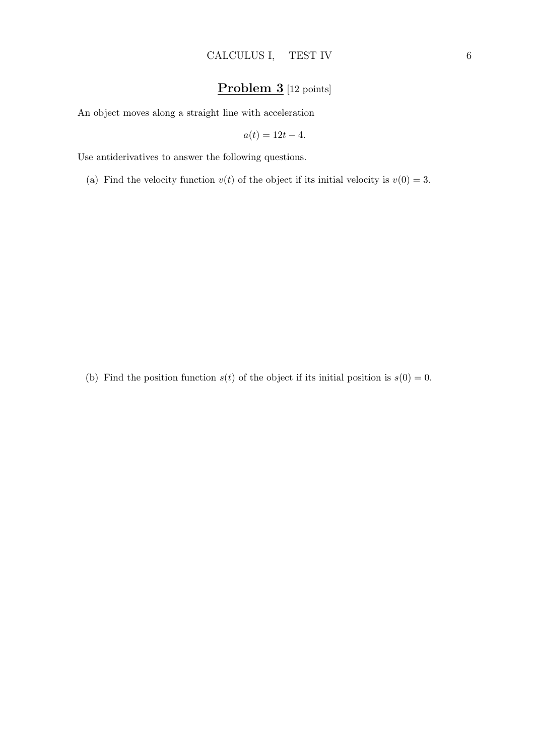# Problem 3 [12 points]

An object moves along a straight line with acceleration

$$
a(t) = 12t - 4.
$$

Use antiderivatives to answer the following questions.

(a) Find the velocity function  $v(t)$  of the object if its initial velocity is  $v(0) = 3$ .

(b) Find the position function  $s(t)$  of the object if its initial position is  $s(0) = 0$ .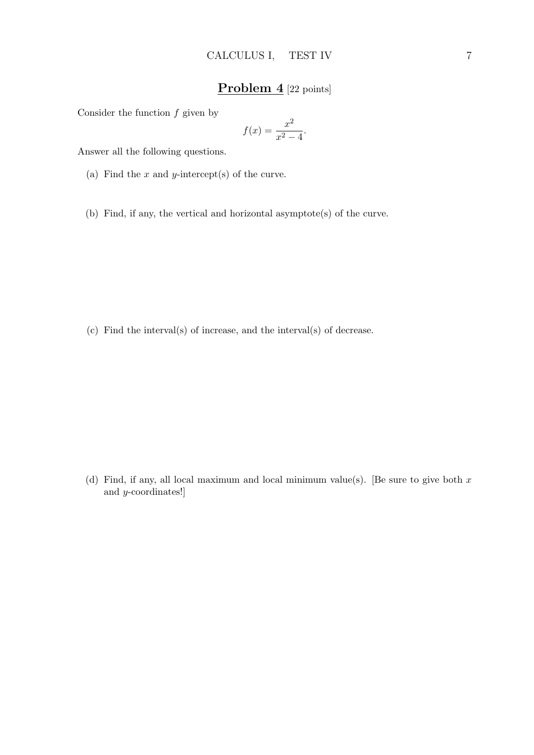## Problem 4 [22 points]

Consider the function  $f$  given by

$$
f(x) = \frac{x^2}{x^2 - 4}.
$$

Answer all the following questions.

- (a) Find the  $x$  and  $y$ -intercept(s) of the curve.
- (b) Find, if any, the vertical and horizontal asymptote(s) of the curve.

(c) Find the interval(s) of increase, and the interval(s) of decrease.

(d) Find, if any, all local maximum and local minimum value(s). [Be sure to give both  $x$ and y-coordinates!]